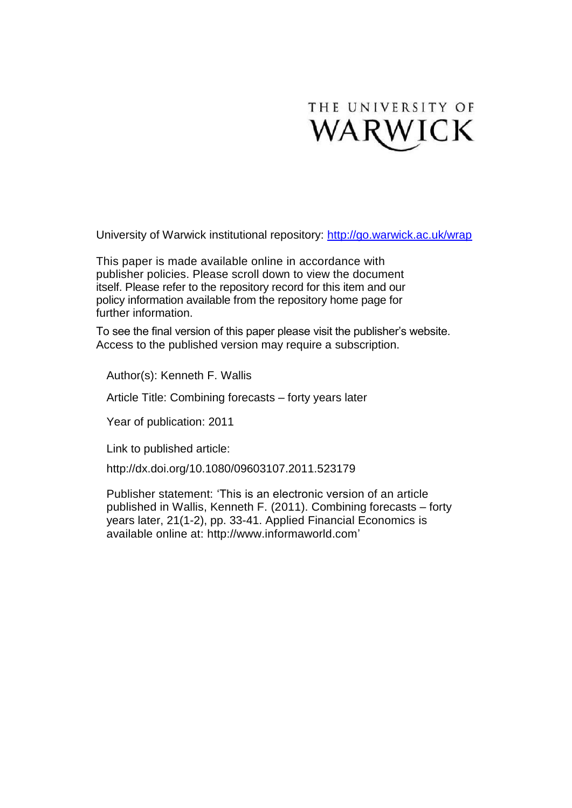# THE UNIVERSITY OF WARWICK

University of Warwick institutional repository:<http://go.warwick.ac.uk/wrap>

This paper is made available online in accordance with publisher policies. Please scroll down to view the document itself. Please refer to the repository record for this item and our policy information available from the repository home page for further information.

To see the final version of this paper please visit the publisher's website. Access to the published version may require a subscription.

Author(s): Kenneth F. Wallis

Article Title: Combining forecasts – forty years later

Year of publication: 2011

Link to published article:

http://dx.doi.org/10.1080/09603107.2011.523179

Publisher statement: 'This is an electronic version of an article published in Wallis, Kenneth F. (2011). Combining forecasts – forty years later, 21(1-2), pp. 33-41. Applied Financial Economics is available online at: http://www.informaworld.com'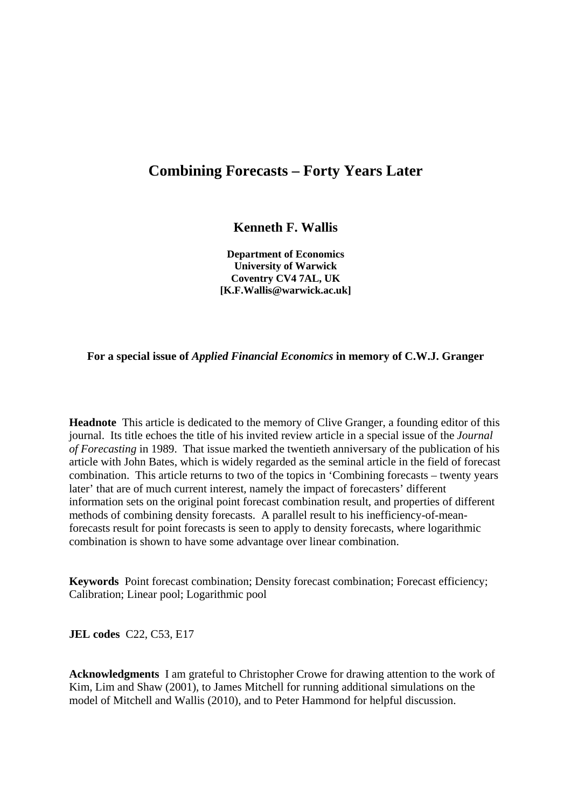# **Combining Forecasts – Forty Years Later**

**Kenneth F. Wallis**

**Department of Economics University of Warwick Coventry CV4 7AL, UK [K.F.Wallis@warwick.ac.uk]** 

**For a special issue of** *Applied Financial Economics* **in memory of C.W.J. Granger** 

**Headnote** This article is dedicated to the memory of Clive Granger, a founding editor of this journal. Its title echoes the title of his invited review article in a special issue of the *Journal of Forecasting* in 1989. That issue marked the twentieth anniversary of the publication of his article with John Bates, which is widely regarded as the seminal article in the field of forecast combination. This article returns to two of the topics in 'Combining forecasts – twenty years later' that are of much current interest, namely the impact of forecasters' different information sets on the original point forecast combination result, and properties of different methods of combining density forecasts. A parallel result to his inefficiency-of-meanforecasts result for point forecasts is seen to apply to density forecasts, where logarithmic combination is shown to have some advantage over linear combination.

**Keywords** Point forecast combination; Density forecast combination; Forecast efficiency; Calibration; Linear pool; Logarithmic pool

**JEL codes** C22, C53, E17

**Acknowledgments** I am grateful to Christopher Crowe for drawing attention to the work of Kim, Lim and Shaw (2001), to James Mitchell for running additional simulations on the model of Mitchell and Wallis (2010), and to Peter Hammond for helpful discussion.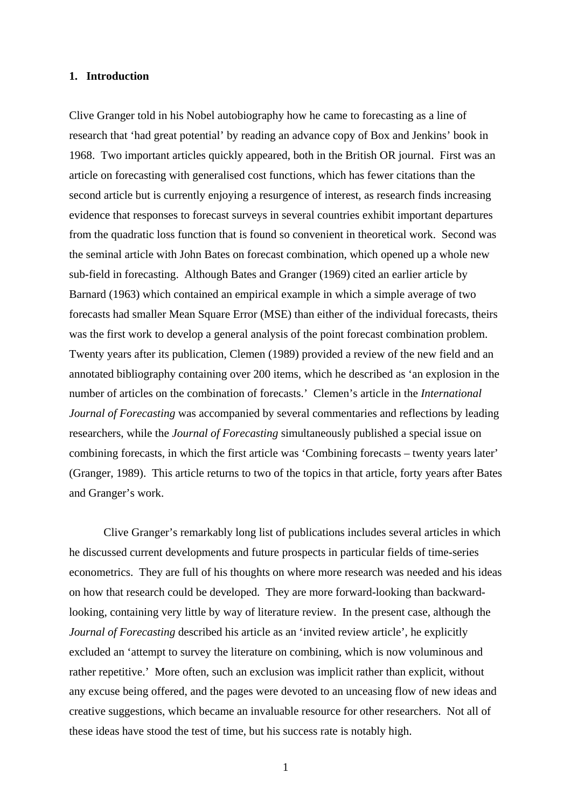## **1. Introduction**

Clive Granger told in his Nobel autobiography how he came to forecasting as a line of research that 'had great potential' by reading an advance copy of Box and Jenkins' book in 1968. Two important articles quickly appeared, both in the British OR journal. First was an article on forecasting with generalised cost functions, which has fewer citations than the second article but is currently enjoying a resurgence of interest, as research finds increasing evidence that responses to forecast surveys in several countries exhibit important departures from the quadratic loss function that is found so convenient in theoretical work. Second was the seminal article with John Bates on forecast combination, which opened up a whole new sub-field in forecasting. Although Bates and Granger (1969) cited an earlier article by Barnard (1963) which contained an empirical example in which a simple average of two forecasts had smaller Mean Square Error (MSE) than either of the individual forecasts, theirs was the first work to develop a general analysis of the point forecast combination problem. Twenty years after its publication, Clemen (1989) provided a review of the new field and an annotated bibliography containing over 200 items, which he described as 'an explosion in the number of articles on the combination of forecasts.' Clemen's article in the *International Journal of Forecasting* was accompanied by several commentaries and reflections by leading researchers, while the *Journal of Forecasting* simultaneously published a special issue on combining forecasts, in which the first article was 'Combining forecasts – twenty years later' (Granger, 1989). This article returns to two of the topics in that article, forty years after Bates and Granger's work.

 Clive Granger's remarkably long list of publications includes several articles in which he discussed current developments and future prospects in particular fields of time-series econometrics. They are full of his thoughts on where more research was needed and his ideas on how that research could be developed. They are more forward-looking than backwardlooking, containing very little by way of literature review. In the present case, although the *Journal of Forecasting* described his article as an 'invited review article', he explicitly excluded an 'attempt to survey the literature on combining, which is now voluminous and rather repetitive.' More often, such an exclusion was implicit rather than explicit, without any excuse being offered, and the pages were devoted to an unceasing flow of new ideas and creative suggestions, which became an invaluable resource for other researchers. Not all of these ideas have stood the test of time, but his success rate is notably high.

1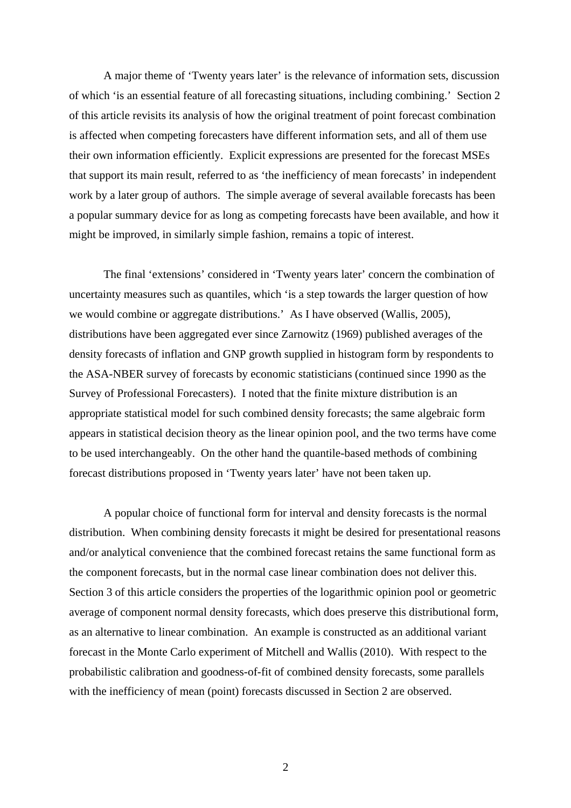A major theme of 'Twenty years later' is the relevance of information sets, discussion of which 'is an essential feature of all forecasting situations, including combining.' Section 2 of this article revisits its analysis of how the original treatment of point forecast combination is affected when competing forecasters have different information sets, and all of them use their own information efficiently. Explicit expressions are presented for the forecast MSEs that support its main result, referred to as 'the inefficiency of mean forecasts' in independent work by a later group of authors. The simple average of several available forecasts has been a popular summary device for as long as competing forecasts have been available, and how it might be improved, in similarly simple fashion, remains a topic of interest.

 The final 'extensions' considered in 'Twenty years later' concern the combination of uncertainty measures such as quantiles, which 'is a step towards the larger question of how we would combine or aggregate distributions.' As I have observed (Wallis, 2005), distributions have been aggregated ever since Zarnowitz (1969) published averages of the density forecasts of inflation and GNP growth supplied in histogram form by respondents to the ASA-NBER survey of forecasts by economic statisticians (continued since 1990 as the Survey of Professional Forecasters). I noted that the finite mixture distribution is an appropriate statistical model for such combined density forecasts; the same algebraic form appears in statistical decision theory as the linear opinion pool, and the two terms have come to be used interchangeably. On the other hand the quantile-based methods of combining forecast distributions proposed in 'Twenty years later' have not been taken up.

 A popular choice of functional form for interval and density forecasts is the normal distribution. When combining density forecasts it might be desired for presentational reasons and/or analytical convenience that the combined forecast retains the same functional form as the component forecasts, but in the normal case linear combination does not deliver this. Section 3 of this article considers the properties of the logarithmic opinion pool or geometric average of component normal density forecasts, which does preserve this distributional form, as an alternative to linear combination. An example is constructed as an additional variant forecast in the Monte Carlo experiment of Mitchell and Wallis (2010). With respect to the probabilistic calibration and goodness-of-fit of combined density forecasts, some parallels with the inefficiency of mean (point) forecasts discussed in Section 2 are observed.

2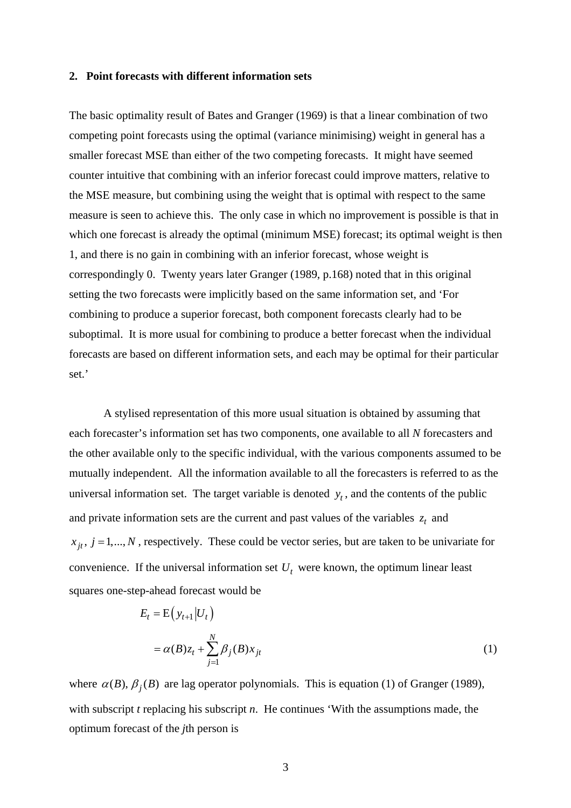#### **2. Point forecasts with different information sets**

The basic optimality result of Bates and Granger (1969) is that a linear combination of two competing point forecasts using the optimal (variance minimising) weight in general has a smaller forecast MSE than either of the two competing forecasts. It might have seemed counter intuitive that combining with an inferior forecast could improve matters, relative to the MSE measure, but combining using the weight that is optimal with respect to the same measure is seen to achieve this. The only case in which no improvement is possible is that in which one forecast is already the optimal (minimum MSE) forecast; its optimal weight is then 1, and there is no gain in combining with an inferior forecast, whose weight is correspondingly 0. Twenty years later Granger (1989, p.168) noted that in this original setting the two forecasts were implicitly based on the same information set, and 'For combining to produce a superior forecast, both component forecasts clearly had to be suboptimal. It is more usual for combining to produce a better forecast when the individual forecasts are based on different information sets, and each may be optimal for their particular set.'

 A stylised representation of this more usual situation is obtained by assuming that each forecaster's information set has two components, one available to all *N* forecasters and the other available only to the specific individual, with the various components assumed to be mutually independent. All the information available to all the forecasters is referred to as the universal information set. The target variable is denoted  $y_t$ , and the contents of the public and private information sets are the current and past values of the variables  $z_t$  and  $x_{it}$ ,  $j = 1,..., N$ , respectively. These could be vector series, but are taken to be univariate for convenience. If the universal information set  $U_t$  were known, the optimum linear least squares one-step-ahead forecast would be

$$
E_t = \mathcal{E}\left(y_{t+1} | U_t\right)
$$
  
=  $\alpha(B)z_t + \sum_{j=1}^N \beta_j(B)x_{jt}$  (1)

where  $\alpha(B)$ ,  $\beta_j(B)$  are lag operator polynomials. This is equation (1) of Granger (1989), with subscript *t* replacing his subscript *n*. He continues 'With the assumptions made, the optimum forecast of the *j*th person is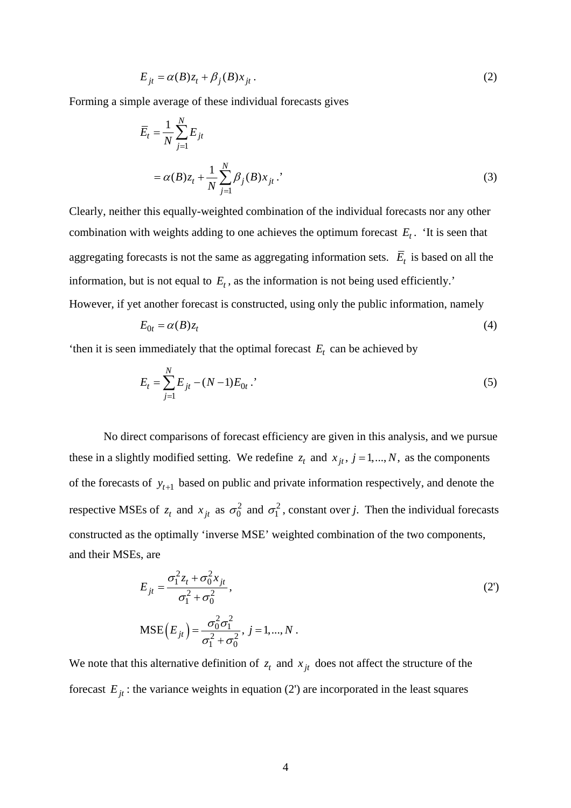$$
E_{jt} = \alpha(B)z_t + \beta_j(B)x_{jt} \,. \tag{2}
$$

Forming a simple average of these individual forecasts gives

$$
\overline{E}_{t} = \frac{1}{N} \sum_{j=1}^{N} E_{jt}
$$
\n
$$
= \alpha(B) z_{t} + \frac{1}{N} \sum_{j=1}^{N} \beta_{j}(B) x_{jt}.
$$
\n(3)

Clearly, neither this equally-weighted combination of the individual forecasts nor any other combination with weights adding to one achieves the optimum forecast  $E_t$ . 'It is seen that aggregating forecasts is not the same as aggregating information sets.  $\overline{E}_t$  is based on all the information, but is not equal to  $E_t$ , as the information is not being used efficiently.' However, if yet another forecast is constructed, using only the public information, namely

$$
E_{0t} = \alpha(B)z_t
$$
 (4)

'then it is seen immediately that the optimal forecast  $E_t$  can be achieved by

$$
E_t = \sum_{j=1}^{N} E_{jt} - (N-1)E_{0t} \tag{5}
$$

 No direct comparisons of forecast efficiency are given in this analysis, and we pursue these in a slightly modified setting. We redefine  $z_t$  and  $x_{jt}$ ,  $j = 1,..., N$ , as the components of the forecasts of  $y_{t+1}$  based on public and private information respectively, and denote the respective MSEs of  $z_t$  and  $x_{jt}$  as  $\sigma_0^2$  and  $\sigma_1^2$ , constant over *j*. Then the individual forecasts constructed as the optimally 'inverse MSE' weighted combination of the two components, and their MSEs, are

$$
E_{jt} = \frac{\sigma_1^2 z_t + \sigma_0^2 x_{jt}}{\sigma_1^2 + \sigma_0^2},
$$
  
\n
$$
MSE(E_{jt}) = \frac{\sigma_0^2 \sigma_1^2}{\sigma_1^2 + \sigma_0^2}, j = 1,..., N.
$$
 (2')

We note that this alternative definition of  $z_t$  and  $x_{jt}$  does not affect the structure of the forecast  $E_{jt}$ : the variance weights in equation (2') are incorporated in the least squares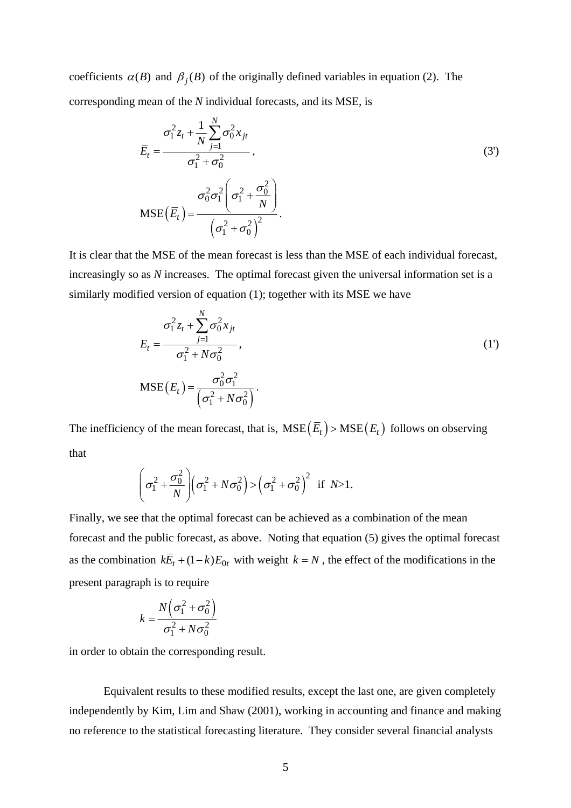coefficients  $\alpha(B)$  and  $\beta_i(B)$  of the originally defined variables in equation (2). The corresponding mean of the *N* individual forecasts, and its MSE, is

$$
\overline{E}_{t} = \frac{\sigma_{1}^{2} z_{t} + \frac{1}{N} \sum_{j=1}^{N} \sigma_{0}^{2} x_{jt}}{\sigma_{1}^{2} + \sigma_{0}^{2}},
$$
\n
$$
MSE\left(\overline{E}_{t}\right) = \frac{\sigma_{0}^{2} \sigma_{1}^{2} \left(\sigma_{1}^{2} + \frac{\sigma_{0}^{2}}{N}\right)}{\left(\sigma_{1}^{2} + \sigma_{0}^{2}\right)^{2}}.
$$
\n(3)

It is clear that the MSE of the mean forecast is less than the MSE of each individual forecast, increasingly so as *N* increases. The optimal forecast given the universal information set is a similarly modified version of equation (1); together with its MSE we have

$$
E_{t} = \frac{\sigma_{1}^{2} z_{t} + \sum_{j=1}^{N} \sigma_{0}^{2} x_{jt}}{\sigma_{1}^{2} + N \sigma_{0}^{2}},
$$
  
\n
$$
MSE(E_{t}) = \frac{\sigma_{0}^{2} \sigma_{1}^{2}}{(\sigma_{1}^{2} + N \sigma_{0}^{2})}.
$$
  
\n(1')

The inefficiency of the mean forecast, that is,  $MSE(\overline{E}_t)$  >  $MSE(E_t)$  follows on observing that

$$
\left(\sigma_1^2+\frac{\sigma_0^2}{N}\right)\left(\sigma_1^2+N\sigma_0^2\right) > \left(\sigma_1^2+\sigma_0^2\right)^2 \text{ if } N>1.
$$

Finally, we see that the optimal forecast can be achieved as a combination of the mean forecast and the public forecast, as above. Noting that equation (5) gives the optimal forecast as the combination  $k\overline{E}_t + (1-k)E_{0t}$  with weight  $k = N$ , the effect of the modifications in the present paragraph is to require

$$
k = \frac{N\left(\sigma_1^2 + \sigma_0^2\right)}{\sigma_1^2 + N\sigma_0^2}
$$

in order to obtain the corresponding result.

 Equivalent results to these modified results, except the last one, are given completely independently by Kim, Lim and Shaw (2001), working in accounting and finance and making no reference to the statistical forecasting literature. They consider several financial analysts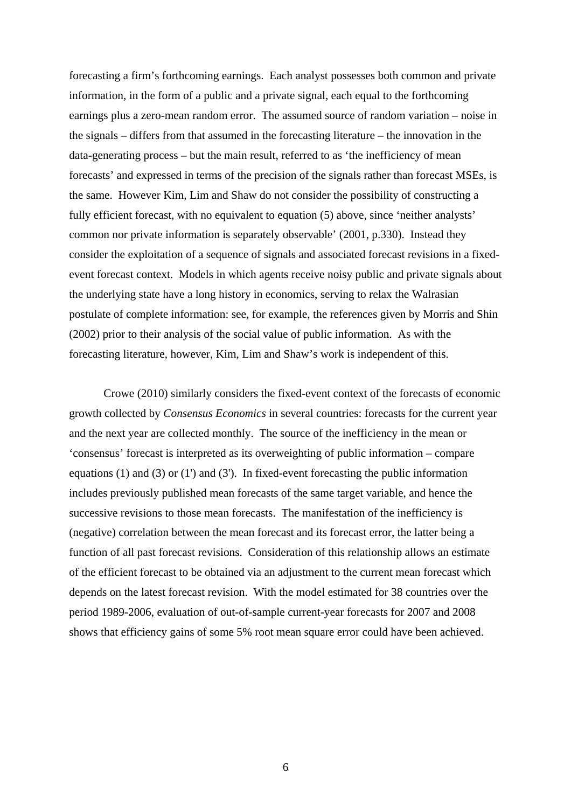forecasting a firm's forthcoming earnings. Each analyst possesses both common and private information, in the form of a public and a private signal, each equal to the forthcoming earnings plus a zero-mean random error. The assumed source of random variation – noise in the signals – differs from that assumed in the forecasting literature – the innovation in the data-generating process – but the main result, referred to as 'the inefficiency of mean forecasts' and expressed in terms of the precision of the signals rather than forecast MSEs, is the same. However Kim, Lim and Shaw do not consider the possibility of constructing a fully efficient forecast, with no equivalent to equation (5) above, since 'neither analysts' common nor private information is separately observable' (2001, p.330). Instead they consider the exploitation of a sequence of signals and associated forecast revisions in a fixedevent forecast context. Models in which agents receive noisy public and private signals about the underlying state have a long history in economics, serving to relax the Walrasian postulate of complete information: see, for example, the references given by Morris and Shin (2002) prior to their analysis of the social value of public information. As with the forecasting literature, however, Kim, Lim and Shaw's work is independent of this.

 Crowe (2010) similarly considers the fixed-event context of the forecasts of economic growth collected by *Consensus Economics* in several countries: forecasts for the current year and the next year are collected monthly. The source of the inefficiency in the mean or 'consensus' forecast is interpreted as its overweighting of public information – compare equations (1) and (3) or (1') and (3'). In fixed-event forecasting the public information includes previously published mean forecasts of the same target variable, and hence the successive revisions to those mean forecasts. The manifestation of the inefficiency is (negative) correlation between the mean forecast and its forecast error, the latter being a function of all past forecast revisions. Consideration of this relationship allows an estimate of the efficient forecast to be obtained via an adjustment to the current mean forecast which depends on the latest forecast revision. With the model estimated for 38 countries over the period 1989-2006, evaluation of out-of-sample current-year forecasts for 2007 and 2008 shows that efficiency gains of some 5% root mean square error could have been achieved.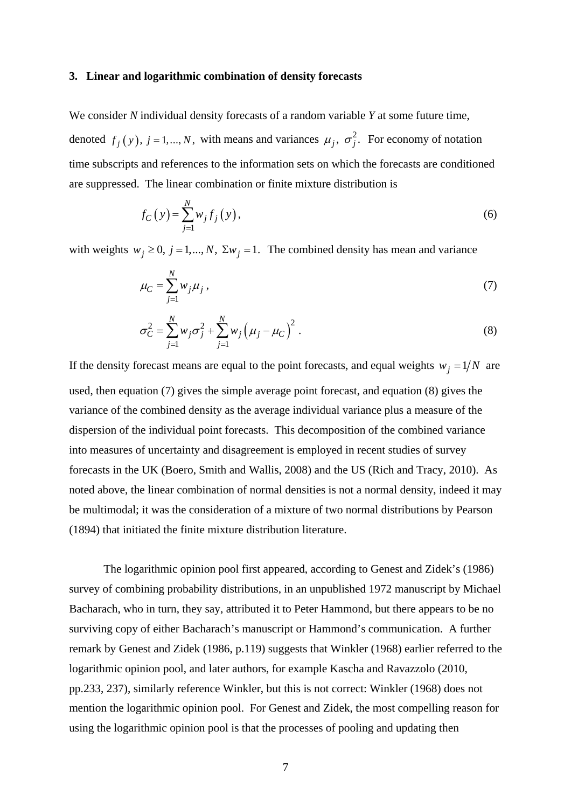#### **3. Linear and logarithmic combination of density forecasts**

We consider *N* individual density forecasts of a random variable *Y* at some future time, denoted  $f_i(y)$ ,  $j = 1,..., N$ , with means and variances  $\mu_j$ ,  $\sigma_j^2$ . For economy of notation time subscripts and references to the information sets on which the forecasts are conditioned are suppressed. The linear combination or finite mixture distribution is

$$
f_C(y) = \sum_{j=1}^{N} w_j f_j(y),
$$
 (6)

with weights  $w_j \ge 0$ ,  $j = 1,..., N$ ,  $\Sigma w_j = 1$ . The combined density has mean and variance

$$
\mu_C = \sum_{j=1}^N w_j \mu_j \,,\tag{7}
$$

$$
\sigma_C^2 = \sum_{j=1}^N w_j \sigma_j^2 + \sum_{j=1}^N w_j (\mu_j - \mu_C)^2.
$$
 (8)

If the density forecast means are equal to the point forecasts, and equal weights  $w_j = 1/N$  are used, then equation (7) gives the simple average point forecast, and equation (8) gives the variance of the combined density as the average individual variance plus a measure of the dispersion of the individual point forecasts. This decomposition of the combined variance into measures of uncertainty and disagreement is employed in recent studies of survey forecasts in the UK (Boero, Smith and Wallis, 2008) and the US (Rich and Tracy, 2010). As noted above, the linear combination of normal densities is not a normal density, indeed it may be multimodal; it was the consideration of a mixture of two normal distributions by Pearson (1894) that initiated the finite mixture distribution literature.

 The logarithmic opinion pool first appeared, according to Genest and Zidek's (1986) survey of combining probability distributions, in an unpublished 1972 manuscript by Michael Bacharach, who in turn, they say, attributed it to Peter Hammond, but there appears to be no surviving copy of either Bacharach's manuscript or Hammond's communication. A further remark by Genest and Zidek (1986, p.119) suggests that Winkler (1968) earlier referred to the logarithmic opinion pool, and later authors, for example Kascha and Ravazzolo (2010, pp.233, 237), similarly reference Winkler, but this is not correct: Winkler (1968) does not mention the logarithmic opinion pool. For Genest and Zidek, the most compelling reason for using the logarithmic opinion pool is that the processes of pooling and updating then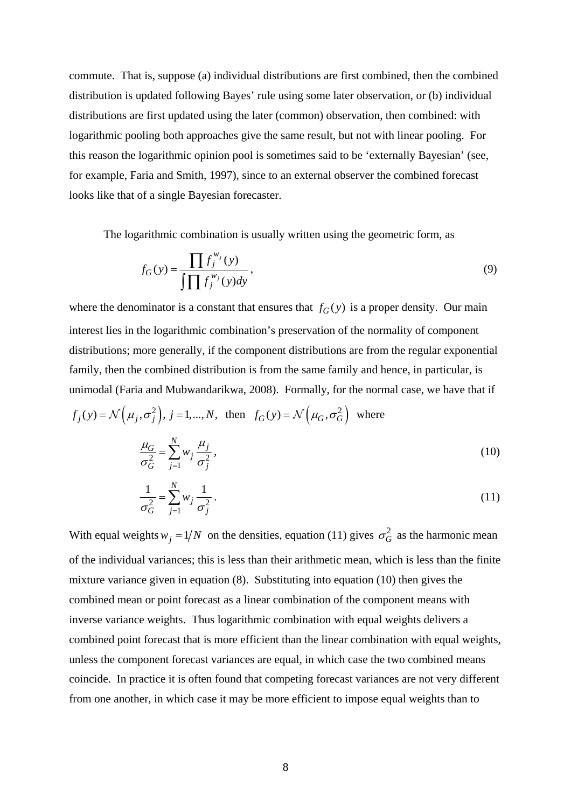commute. That is, suppose (a) individual distributions are first combined, then the combined distribution is updated following Bayes' rule using some later observation, or (b) individual distributions are first updated using the later (common) observation, then combined: with logarithmic pooling both approaches give the same result, but not with linear pooling. For this reason the logarithmic opinion pool is sometimes said to be 'externally Bayesian' (see, for example, Faria and Smith, 1997), since to an external observer the combined forecast looks like that of a single Bayesian forecaster.

The logarithmic combination is usually written using the geometric form, as

$$
f_G(y) = \frac{\prod f_j^{w_j}(y)}{\prod f_j^{w_j}(y)dy},\tag{9}
$$

where the denominator is a constant that ensures that  $f_G(y)$  is a proper density. Our main interest lies in the logarithmic combination's preservation of the normality of component distributions; more generally, if the component distributions are from the regular exponential family, then the combined distribution is from the same family and hence, in particular, is unimodal (Faria and Mubwandarikwa, 2008). Formally, for the normal case, we have that if

$$
f_j(y) = \mathcal{N}\left(\mu_j, \sigma_j^2\right), j = 1, \dots, N, \text{ then } f_G(y) = \mathcal{N}\left(\mu_G, \sigma_G^2\right) \text{ where}
$$
  

$$
\frac{\mu_G}{\sigma_G^2} = \sum_{j=1}^N w_j \frac{\mu_j}{\sigma_j^2},
$$
  

$$
\frac{1}{\sigma_G^2} = \sum_{j=1}^N w_j \frac{1}{\sigma_j^2}.
$$
 (11)

With equal weights  $w_j = 1/N$  on the densities, equation (11) gives  $\sigma_G^2$  as the harmonic mean of the individual variances; this is less than their arithmetic mean, which is less than the finite mixture variance given in equation (8). Substituting into equation (10) then gives the combined mean or point forecast as a linear combination of the component means with inverse variance weights. Thus logarithmic combination with equal weights delivers a combined point forecast that is more efficient than the linear combination with equal weights, unless the component forecast variances are equal, in which case the two combined means coincide. In practice it is often found that competing forecast variances are not very different from one another, in which case it may be more efficient to impose equal weights than to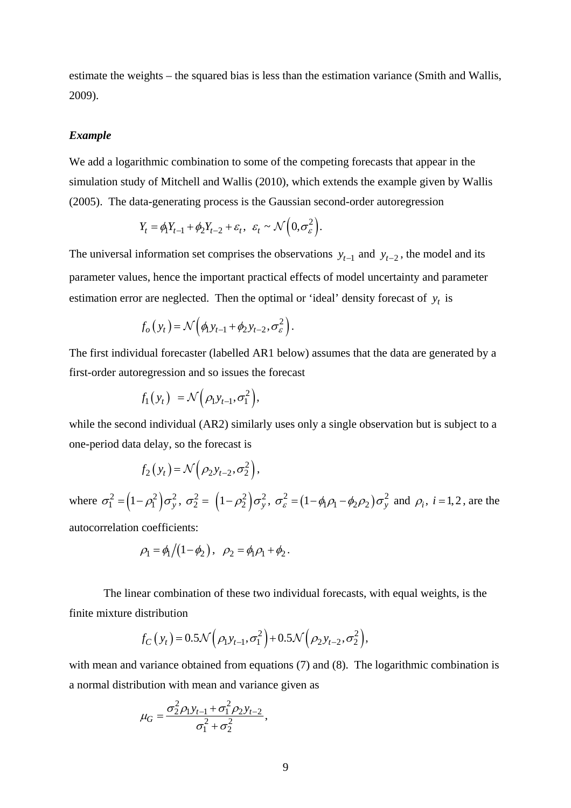estimate the weights – the squared bias is less than the estimation variance (Smith and Wallis, 2009).

### *Example*

We add a logarithmic combination to some of the competing forecasts that appear in the simulation study of Mitchell and Wallis (2010), which extends the example given by Wallis (2005). The data-generating process is the Gaussian second-order autoregression

$$
Y_t = \phi_1 Y_{t-1} + \phi_2 Y_{t-2} + \varepsilon_t, \ \varepsilon_t \sim \mathcal{N}\left(0, \sigma_{\varepsilon}^2\right).
$$

The universal information set comprises the observations  $y_{t-1}$  and  $y_{t-2}$ , the model and its parameter values, hence the important practical effects of model uncertainty and parameter estimation error are neglected. Then the optimal or 'ideal' density forecast of  $y_t$  is

$$
f_o(y_t) = \mathcal{N}\left(\phi_1 y_{t-1} + \phi_2 y_{t-2}, \sigma_{\varepsilon}^2\right).
$$

The first individual forecaster (labelled AR1 below) assumes that the data are generated by a first-order autoregression and so issues the forecast

$$
f_1(y_t) = \mathcal{N}(\rho_1 y_{t-1}, \sigma_1^2),
$$

while the second individual (AR2) similarly uses only a single observation but is subject to a one-period data delay, so the forecast is

$$
f_2(y_t) = \mathcal{N}\left(\rho_2 y_{t-2}, \sigma_2^2\right),\,
$$

where  $\sigma_1^2 = (1 - \rho_1^2) \sigma_y^2$ ,  $\sigma_2^2 = (1 - \rho_2^2)$  $\sigma_2^2 = (1-\rho_2^2)\sigma_y^2$ ,  $\sigma_\varepsilon^2 = (1-\phi_1\rho_1-\phi_2\rho_2)\sigma_y^2$  and  $\rho_i$ ,  $i=1,2$ , are the

autocorrelation coefficients:

$$
\rho_1 = \phi_1/(1-\phi_2), \quad \rho_2 = \phi_1 \rho_1 + \phi_2.
$$

 The linear combination of these two individual forecasts, with equal weights, is the finite mixture distribution

$$
f_C(y_t) = 0.5 \mathcal{N} \left( \rho_1 y_{t-1}, \sigma_1^2 \right) + 0.5 \mathcal{N} \left( \rho_2 y_{t-2}, \sigma_2^2 \right),
$$

with mean and variance obtained from equations (7) and (8). The logarithmic combination is a normal distribution with mean and variance given as

$$
\mu_G = \frac{\sigma_2^2 \rho_1 y_{t-1} + \sigma_1^2 \rho_2 y_{t-2}}{\sigma_1^2 + \sigma_2^2},
$$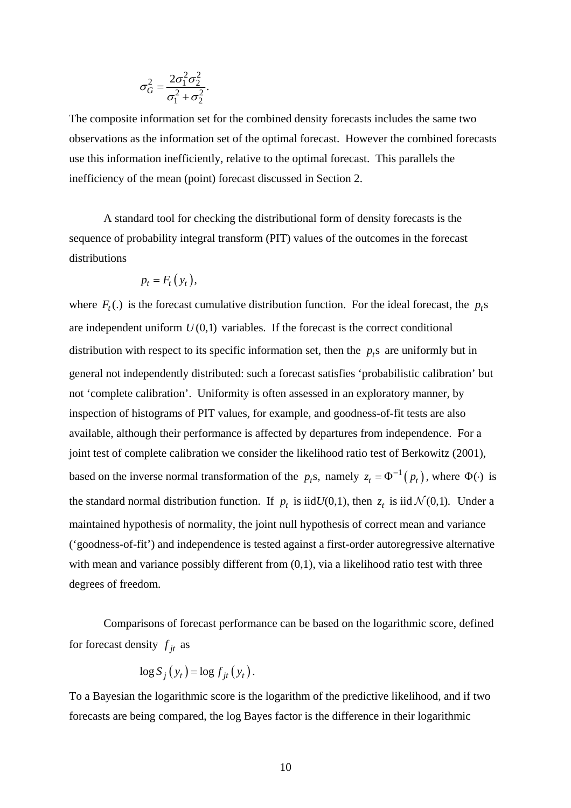$$
\sigma_G^2 = \frac{2\sigma_1^2\sigma_2^2}{\sigma_1^2 + \sigma_2^2}.
$$

The composite information set for the combined density forecasts includes the same two observations as the information set of the optimal forecast. However the combined forecasts use this information inefficiently, relative to the optimal forecast. This parallels the inefficiency of the mean (point) forecast discussed in Section 2.

 A standard tool for checking the distributional form of density forecasts is the sequence of probability integral transform (PIT) values of the outcomes in the forecast distributions

$$
p_t = F_t(y_t),
$$

where  $F_t(.)$  is the forecast cumulative distribution function. For the ideal forecast, the  $p_t$ s are independent uniform  $U(0,1)$  variables. If the forecast is the correct conditional distribution with respect to its specific information set, then the  $p<sub>t</sub>$ s are uniformly but in general not independently distributed: such a forecast satisfies 'probabilistic calibration' but not 'complete calibration'. Uniformity is often assessed in an exploratory manner, by inspection of histograms of PIT values, for example, and goodness-of-fit tests are also available, although their performance is affected by departures from independence. For a joint test of complete calibration we consider the likelihood ratio test of Berkowitz (2001), based on the inverse normal transformation of the  $p_t$ s, namely  $z_t = \Phi^{-1}(p_t)$ , where  $\Phi(\cdot)$  is the standard normal distribution function. If  $p_t$  is iid $U(0,1)$ , then  $z_t$  is iid  $\mathcal{N}(0,1)$ . Under a maintained hypothesis of normality, the joint null hypothesis of correct mean and variance ('goodness-of-fit') and independence is tested against a first-order autoregressive alternative with mean and variance possibly different from  $(0,1)$ , via a likelihood ratio test with three degrees of freedom.

 Comparisons of forecast performance can be based on the logarithmic score, defined for forecast density  $f_{it}$  as

$$
\log S_j(y_t) = \log f_{jt}(y_t).
$$

To a Bayesian the logarithmic score is the logarithm of the predictive likelihood, and if two forecasts are being compared, the log Bayes factor is the difference in their logarithmic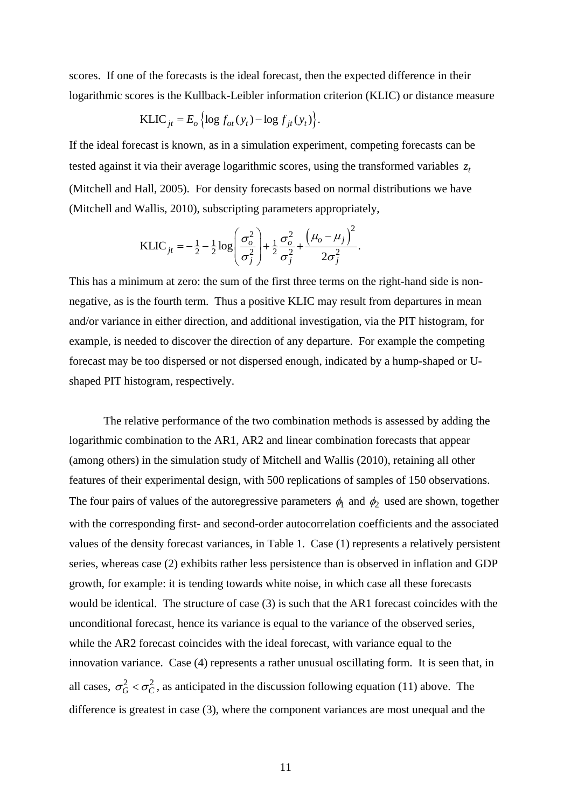scores. If one of the forecasts is the ideal forecast, then the expected difference in their logarithmic scores is the Kullback-Leibler information criterion (KLIC) or distance measure

$$
KLIC_{jt} = E_o \left\{ \log f_{ot}(y_t) - \log f_{jt}(y_t) \right\}.
$$

If the ideal forecast is known, as in a simulation experiment, competing forecasts can be tested against it via their average logarithmic scores, using the transformed variables *tz* (Mitchell and Hall, 2005). For density forecasts based on normal distributions we have (Mitchell and Wallis, 2010), subscripting parameters appropriately,

$$
KLIC_{jt} = -\frac{1}{2} - \frac{1}{2} \log \left( \frac{\sigma_o^2}{\sigma_j^2} \right) + \frac{1}{2} \frac{\sigma_o^2}{\sigma_j^2} + \frac{\left(\mu_o - \mu_j\right)^2}{2\sigma_j^2}.
$$

This has a minimum at zero: the sum of the first three terms on the right-hand side is nonnegative, as is the fourth term. Thus a positive KLIC may result from departures in mean and/or variance in either direction, and additional investigation, via the PIT histogram, for example, is needed to discover the direction of any departure. For example the competing forecast may be too dispersed or not dispersed enough, indicated by a hump-shaped or Ushaped PIT histogram, respectively.

 The relative performance of the two combination methods is assessed by adding the logarithmic combination to the AR1, AR2 and linear combination forecasts that appear (among others) in the simulation study of Mitchell and Wallis (2010), retaining all other features of their experimental design, with 500 replications of samples of 150 observations. The four pairs of values of the autoregressive parameters  $\phi_1$  and  $\phi_2$  used are shown, together with the corresponding first- and second-order autocorrelation coefficients and the associated values of the density forecast variances, in Table 1. Case (1) represents a relatively persistent series, whereas case (2) exhibits rather less persistence than is observed in inflation and GDP growth, for example: it is tending towards white noise, in which case all these forecasts would be identical. The structure of case (3) is such that the AR1 forecast coincides with the unconditional forecast, hence its variance is equal to the variance of the observed series, while the AR2 forecast coincides with the ideal forecast, with variance equal to the innovation variance. Case (4) represents a rather unusual oscillating form. It is seen that, in all cases,  $\sigma_G^2 < \sigma_C^2$ , as anticipated in the discussion following equation (11) above. The difference is greatest in case (3), where the component variances are most unequal and the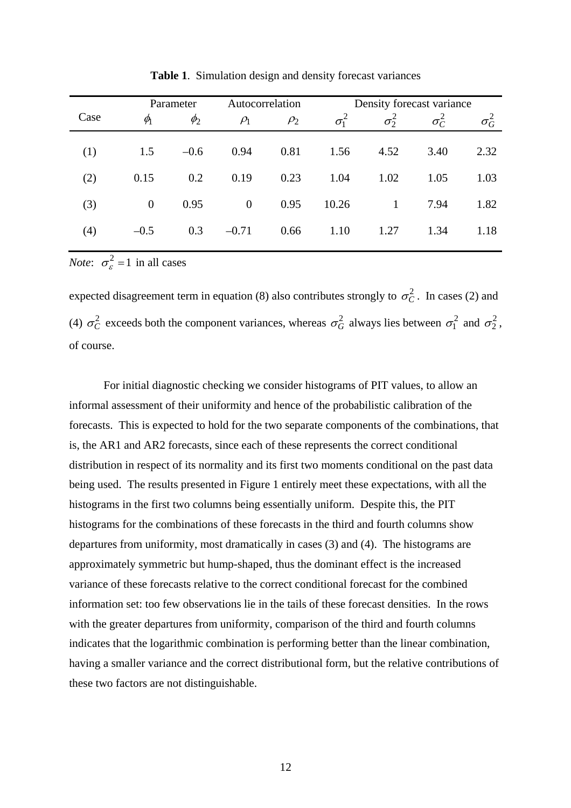|      | Parameter |          | Autocorrelation |          | Density forecast variance |            |              |              |
|------|-----------|----------|-----------------|----------|---------------------------|------------|--------------|--------------|
| Case | $\phi$    | $\phi_2$ | $\rho_{\rm l}$  | $\rho_2$ | $\sigma_1^2$              | $\sigma_2$ | $\sigma_C^2$ | $\sigma_G^2$ |
| (1)  | 1.5       | $-0.6$   | 0.94            | 0.81     | 1.56                      | 4.52       | 3.40         | 2.32         |
| (2)  | 0.15      | 0.2      | 0.19            | 0.23     | 1.04                      | 1.02       | 1.05         | 1.03         |
| (3)  | $\theta$  | 0.95     | $\overline{0}$  | 0.95     | 10.26                     | 1          | 7.94         | 1.82         |
| (4)  | $-0.5$    | 0.3      | $-0.71$         | 0.66     | 1.10                      | 1.27       | 1.34         | 1.18         |

**Table 1**.Simulation design and density forecast variances

*Note*:  $\sigma_{\epsilon}^2 = 1$  in all cases

expected disagreement term in equation (8) also contributes strongly to  $\sigma_C^2$ . In cases (2) and (4)  $\sigma_C^2$  exceeds both the component variances, whereas  $\sigma_G^2$  always lies between  $\sigma_1^2$  and  $\sigma_2^2$ , of course.

 For initial diagnostic checking we consider histograms of PIT values, to allow an informal assessment of their uniformity and hence of the probabilistic calibration of the forecasts. This is expected to hold for the two separate components of the combinations, that is, the AR1 and AR2 forecasts, since each of these represents the correct conditional distribution in respect of its normality and its first two moments conditional on the past data being used. The results presented in Figure 1 entirely meet these expectations, with all the histograms in the first two columns being essentially uniform. Despite this, the PIT histograms for the combinations of these forecasts in the third and fourth columns show departures from uniformity, most dramatically in cases (3) and (4). The histograms are approximately symmetric but hump-shaped, thus the dominant effect is the increased variance of these forecasts relative to the correct conditional forecast for the combined information set: too few observations lie in the tails of these forecast densities. In the rows with the greater departures from uniformity, comparison of the third and fourth columns indicates that the logarithmic combination is performing better than the linear combination, having a smaller variance and the correct distributional form, but the relative contributions of these two factors are not distinguishable.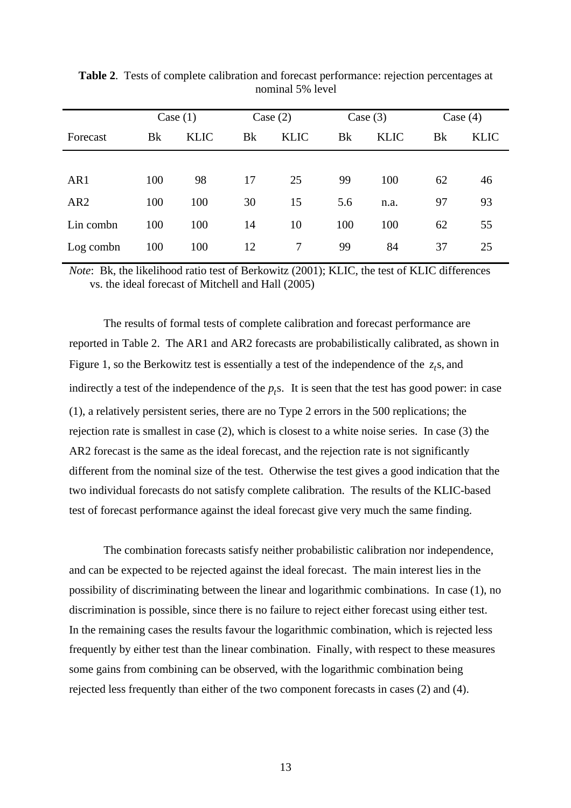|                 | Case $(1)$ |             | Case $(2)$ |             | Case $(3)$ |             | Case $(4)$ |             |
|-----------------|------------|-------------|------------|-------------|------------|-------------|------------|-------------|
| Forecast        | Bk         | <b>KLIC</b> | Bk         | <b>KLIC</b> | Bk         | <b>KLIC</b> | Bk         | <b>KLIC</b> |
|                 |            |             |            |             |            |             |            |             |
| AR1             | 100        | 98          | 17         | 25          | 99         | 100         | 62         | 46          |
| AR <sub>2</sub> | 100        | 100         | 30         | 15          | 5.6        | n.a.        | 97         | 93          |
| Lin combn       | 100        | 100         | 14         | 10          | 100        | 100         | 62         | 55          |
| Log combn       | 100        | 100         | 12         | 7           | 99         | 84          | 37         | 25          |

**Table 2**. Tests of complete calibration and forecast performance: rejection percentages at nominal 5% level

*Note*: Bk, the likelihood ratio test of Berkowitz (2001); KLIC, the test of KLIC differences vs. the ideal forecast of Mitchell and Hall (2005)

 The results of formal tests of complete calibration and forecast performance are reported in Table 2. The AR1 and AR2 forecasts are probabilistically calibrated, as shown in Figure 1, so the Berkowitz test is essentially a test of the independence of the  $z$ <sub>r</sub>s, and indirectly a test of the independence of the  $p<sub>f</sub>$ s. It is seen that the test has good power: in case (1), a relatively persistent series, there are no Type 2 errors in the 500 replications; the rejection rate is smallest in case (2), which is closest to a white noise series. In case (3) the AR2 forecast is the same as the ideal forecast, and the rejection rate is not significantly different from the nominal size of the test. Otherwise the test gives a good indication that the two individual forecasts do not satisfy complete calibration. The results of the KLIC-based test of forecast performance against the ideal forecast give very much the same finding.

 The combination forecasts satisfy neither probabilistic calibration nor independence, and can be expected to be rejected against the ideal forecast. The main interest lies in the possibility of discriminating between the linear and logarithmic combinations. In case (1), no discrimination is possible, since there is no failure to reject either forecast using either test. In the remaining cases the results favour the logarithmic combination, which is rejected less frequently by either test than the linear combination. Finally, with respect to these measures some gains from combining can be observed, with the logarithmic combination being rejected less frequently than either of the two component forecasts in cases (2) and (4).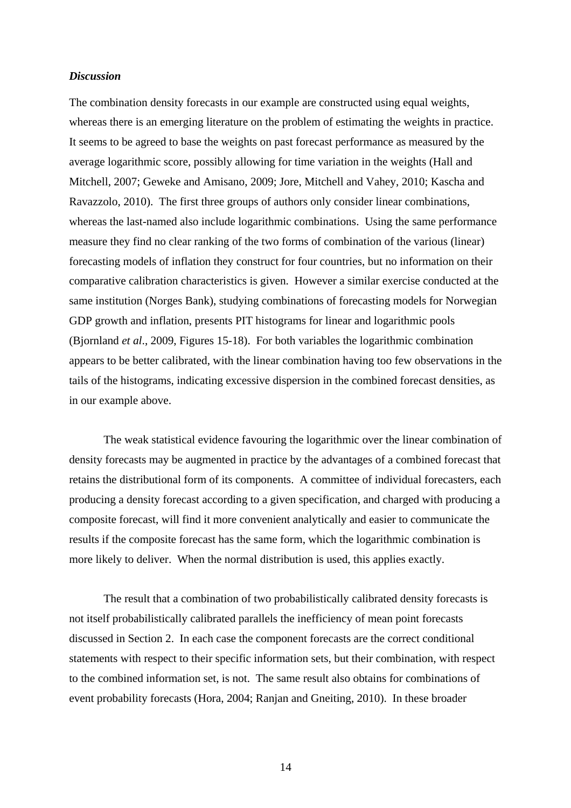### *Discussion*

The combination density forecasts in our example are constructed using equal weights, whereas there is an emerging literature on the problem of estimating the weights in practice. It seems to be agreed to base the weights on past forecast performance as measured by the average logarithmic score, possibly allowing for time variation in the weights (Hall and Mitchell, 2007; Geweke and Amisano, 2009; Jore, Mitchell and Vahey, 2010; Kascha and Ravazzolo, 2010). The first three groups of authors only consider linear combinations, whereas the last-named also include logarithmic combinations. Using the same performance measure they find no clear ranking of the two forms of combination of the various (linear) forecasting models of inflation they construct for four countries, but no information on their comparative calibration characteristics is given. However a similar exercise conducted at the same institution (Norges Bank), studying combinations of forecasting models for Norwegian GDP growth and inflation, presents PIT histograms for linear and logarithmic pools (Bjornland *et al*., 2009, Figures 15-18). For both variables the logarithmic combination appears to be better calibrated, with the linear combination having too few observations in the tails of the histograms, indicating excessive dispersion in the combined forecast densities, as in our example above.

 The weak statistical evidence favouring the logarithmic over the linear combination of density forecasts may be augmented in practice by the advantages of a combined forecast that retains the distributional form of its components. A committee of individual forecasters, each producing a density forecast according to a given specification, and charged with producing a composite forecast, will find it more convenient analytically and easier to communicate the results if the composite forecast has the same form, which the logarithmic combination is more likely to deliver. When the normal distribution is used, this applies exactly.

 The result that a combination of two probabilistically calibrated density forecasts is not itself probabilistically calibrated parallels the inefficiency of mean point forecasts discussed in Section 2. In each case the component forecasts are the correct conditional statements with respect to their specific information sets, but their combination, with respect to the combined information set, is not. The same result also obtains for combinations of event probability forecasts (Hora, 2004; Ranjan and Gneiting, 2010). In these broader

14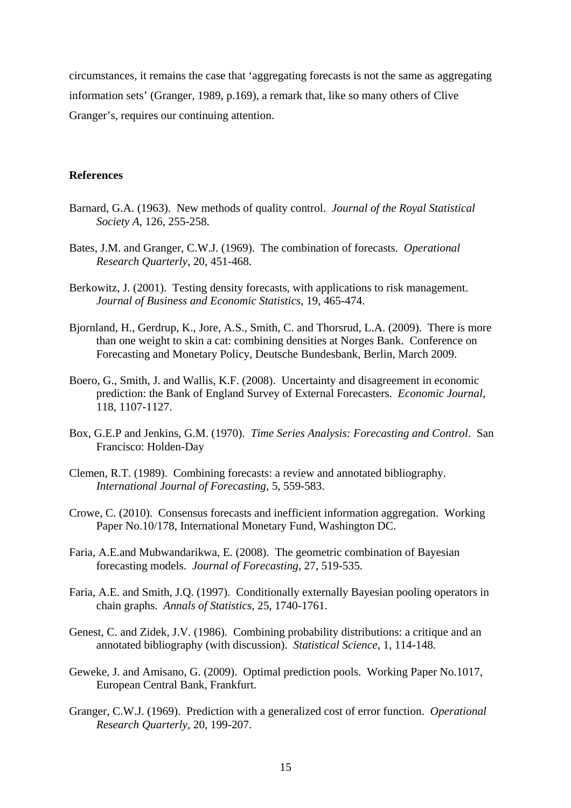circumstances, it remains the case that 'aggregating forecasts is not the same as aggregating information sets' (Granger, 1989, p.169), a remark that, like so many others of Clive Granger's, requires our continuing attention.

# **References**

- Barnard, G.A. (1963). New methods of quality control. *Journal of the Royal Statistical Society A*, 126, 255-258.
- Bates, J.M. and Granger, C.W.J. (1969). The combination of forecasts. *Operational Research Quarterly*, 20, 451-468.
- Berkowitz, J. (2001). Testing density forecasts, with applications to risk management. *Journal of Business and Economic Statistics*, 19, 465-474.
- Bjornland, H., Gerdrup, K., Jore, A.S., Smith, C. and Thorsrud, L.A. (2009). There is more than one weight to skin a cat: combining densities at Norges Bank. Conference on Forecasting and Monetary Policy, Deutsche Bundesbank, Berlin, March 2009.
- Boero, G., Smith, J. and Wallis, K.F. (2008). Uncertainty and disagreement in economic prediction: the Bank of England Survey of External Forecasters. *Economic Journal*, 118, 1107-1127.
- Box, G.E.P and Jenkins, G.M. (1970). *Time Series Analysis: Forecasting and Control*. San Francisco: Holden-Day
- Clemen, R.T. (1989). Combining forecasts: a review and annotated bibliography. *International Journal of Forecasting*, 5, 559-583.
- Crowe, C. (2010). Consensus forecasts and inefficient information aggregation. Working Paper No.10/178, International Monetary Fund, Washington DC.
- Faria, A.E.and Mubwandarikwa, E. (2008). The geometric combination of Bayesian forecasting models. *Journal of Forecasting*, 27, 519-535.
- Faria, A.E. and Smith, J.Q. (1997). Conditionally externally Bayesian pooling operators in chain graphs. *Annals of Statistics*, 25, 1740-1761.
- Genest, C. and Zidek, J.V. (1986). Combining probability distributions: a critique and an annotated bibliography (with discussion). *Statistical Science*, 1, 114-148.
- Geweke, J. and Amisano, G. (2009). Optimal prediction pools. Working Paper No.1017, European Central Bank, Frankfurt.
- Granger, C.W.J. (1969). Prediction with a generalized cost of error function. *Operational Research Quarterly*, 20, 199-207.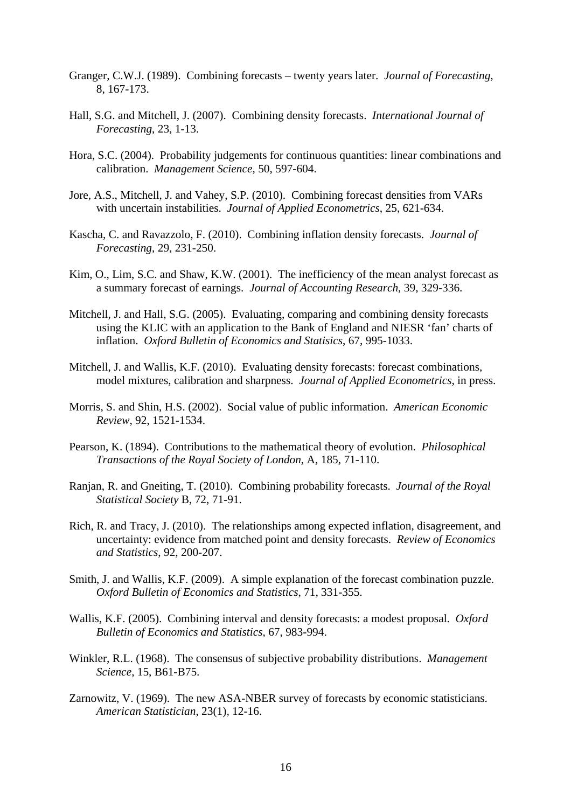- Granger, C.W.J. (1989). Combining forecasts twenty years later. *Journal of Forecasting*, 8, 167-173.
- Hall, S.G. and Mitchell, J. (2007). Combining density forecasts. *International Journal of Forecasting*, 23, 1-13.
- Hora, S.C. (2004). Probability judgements for continuous quantities: linear combinations and calibration. *Management Science*, 50, 597-604.
- Jore, A.S., Mitchell, J. and Vahey, S.P. (2010). Combining forecast densities from VARs with uncertain instabilities. *Journal of Applied Econometrics*, 25, 621-634.
- Kascha, C. and Ravazzolo, F. (2010). Combining inflation density forecasts. *Journal of Forecasting*, 29, 231-250.
- Kim, O., Lim, S.C. and Shaw, K.W. (2001). The inefficiency of the mean analyst forecast as a summary forecast of earnings. *Journal of Accounting Research*, 39, 329-336.
- Mitchell, J. and Hall, S.G. (2005). Evaluating, comparing and combining density forecasts using the KLIC with an application to the Bank of England and NIESR 'fan' charts of inflation. *Oxford Bulletin of Economics and Statisics*, 67, 995-1033.
- Mitchell, J. and Wallis, K.F. (2010). Evaluating density forecasts: forecast combinations, model mixtures, calibration and sharpness. *Journal of Applied Econometrics*, in press.
- Morris, S. and Shin, H.S. (2002). Social value of public information. *American Economic Review*, 92, 1521-1534.
- Pearson, K. (1894). Contributions to the mathematical theory of evolution. *Philosophical Transactions of the Royal Society of London*, A, 185, 71-110.
- Ranjan, R. and Gneiting, T. (2010). Combining probability forecasts. *Journal of the Royal Statistical Society* B, 72, 71-91.
- Rich, R. and Tracy, J. (2010). The relationships among expected inflation, disagreement, and uncertainty: evidence from matched point and density forecasts. *Review of Economics and Statistics*, 92, 200-207.
- Smith, J. and Wallis, K.F. (2009). A simple explanation of the forecast combination puzzle. *Oxford Bulletin of Economics and Statistics*, 71, 331-355.
- Wallis, K.F. (2005). Combining interval and density forecasts: a modest proposal. *Oxford Bulletin of Economics and Statistics*, 67, 983-994.
- Winkler, R.L. (1968). The consensus of subjective probability distributions. *Management Science*, 15, B61-B75.
- Zarnowitz, V. (1969). The new ASA-NBER survey of forecasts by economic statisticians. *American Statistician*, 23(1), 12-16.